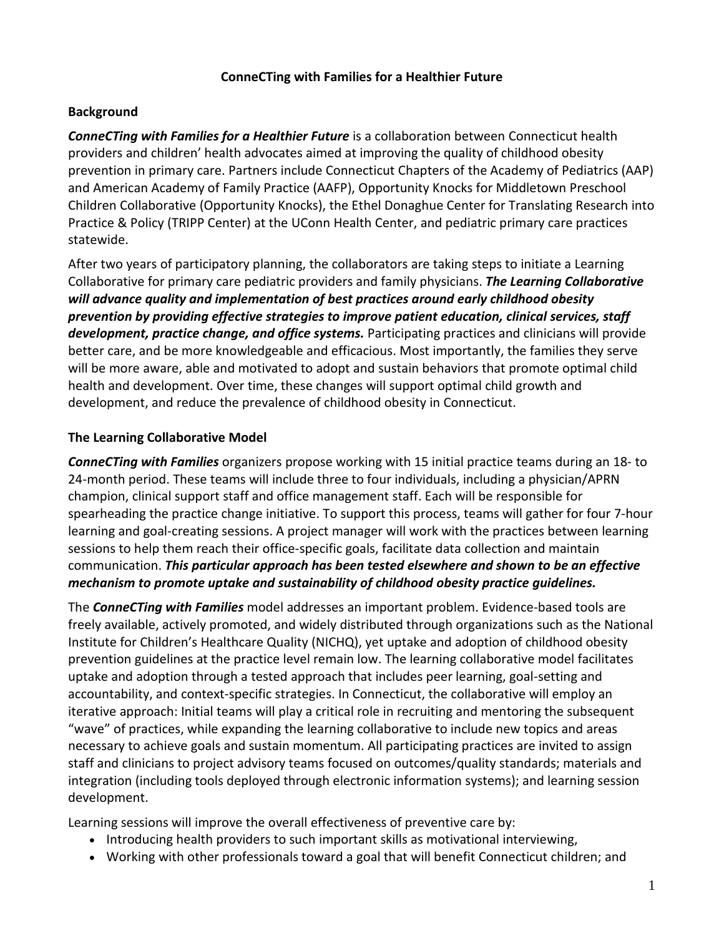#### **ConneCTing with Families for a Healthier Future**

#### **Background**

*ConneCTing with Families for a Healthier Future* is a collaboration between Connecticut health providers and children' health advocates aimed at improving the quality of childhood obesity prevention in primary care. Partners include Connecticut Chapters of the Academy of Pediatrics (AAP) and American Academy of Family Practice (AAFP), Opportunity Knocks for Middletown Preschool Children Collaborative (Opportunity Knocks), the Ethel Donaghue Center for Translating Research into Practice & Policy (TRIPP Center) at the UConn Health Center, and pediatric primary care practices statewide.

After two years of participatory planning, the collaborators are taking steps to initiate a Learning Collaborative for primary care pediatric providers and family physicians. *The Learning Collaborative will advance quality and implementation of best practices around early childhood obesity prevention by providing effective strategies to improve patient education, clinical services, staff development, practice change, and office systems.* Participating practices and clinicians will provide better care, and be more knowledgeable and efficacious. Most importantly, the families they serve will be more aware, able and motivated to adopt and sustain behaviors that promote optimal child health and development. Over time, these changes will support optimal child growth and development, and reduce the prevalence of childhood obesity in Connecticut.

### **The Learning Collaborative Model**

*ConneCTing with Families* organizers propose working with 15 initial practice teams during an 18- to 24-month period. These teams will include three to four individuals, including a physician/APRN champion, clinical support staff and office management staff. Each will be responsible for spearheading the practice change initiative. To support this process, teams will gather for four 7-hour learning and goal-creating sessions. A project manager will work with the practices between learning sessions to help them reach their office-specific goals, facilitate data collection and maintain communication. *This particular approach has been tested elsewhere and shown to be an effective mechanism to promote uptake and sustainability of childhood obesity practice guidelines.*

The *ConneCTing with Families* model addresses an important problem. Evidence-based tools are freely available, actively promoted, and widely distributed through organizations such as the National Institute for Children's Healthcare Quality (NICHQ), yet uptake and adoption of childhood obesity prevention guidelines at the practice level remain low. The learning collaborative model facilitates uptake and adoption through a tested approach that includes peer learning, goal-setting and accountability, and context-specific strategies. In Connecticut, the collaborative will employ an iterative approach: Initial teams will play a critical role in recruiting and mentoring the subsequent "wave" of practices, while expanding the learning collaborative to include new topics and areas necessary to achieve goals and sustain momentum. All participating practices are invited to assign staff and clinicians to project advisory teams focused on outcomes/quality standards; materials and integration (including tools deployed through electronic information systems); and learning session development.

Learning sessions will improve the overall effectiveness of preventive care by:

- Introducing health providers to such important skills as motivational interviewing,
- Working with other professionals toward a goal that will benefit Connecticut children; and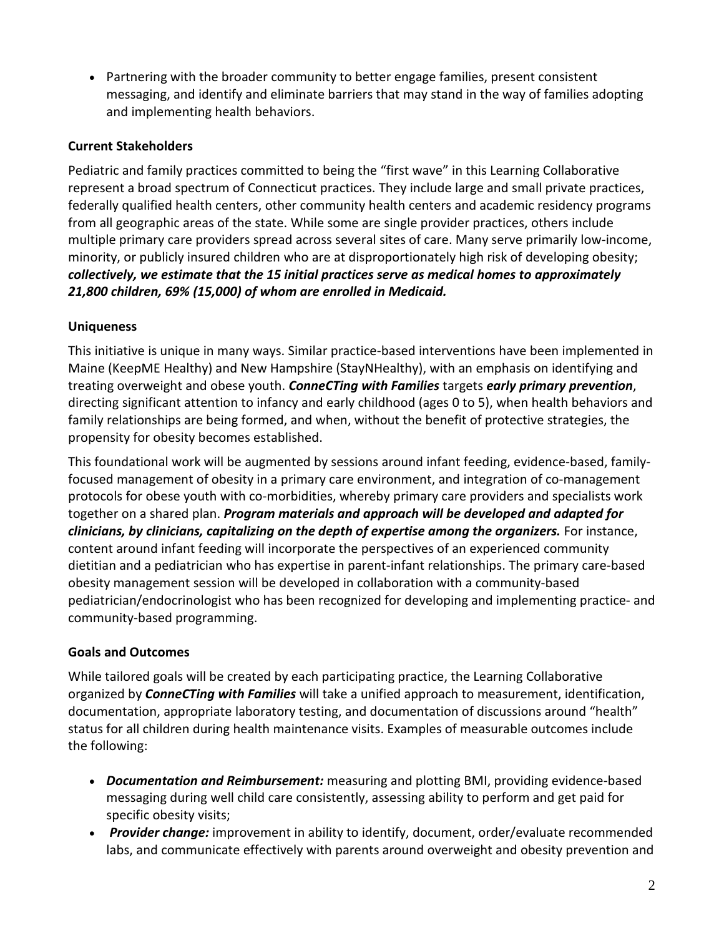Partnering with the broader community to better engage families, present consistent messaging, and identify and eliminate barriers that may stand in the way of families adopting and implementing health behaviors.

# **Current Stakeholders**

Pediatric and family practices committed to being the "first wave" in this Learning Collaborative represent a broad spectrum of Connecticut practices. They include large and small private practices, federally qualified health centers, other community health centers and academic residency programs from all geographic areas of the state. While some are single provider practices, others include multiple primary care providers spread across several sites of care. Many serve primarily low-income, minority, or publicly insured children who are at disproportionately high risk of developing obesity; *collectively, we estimate that the 15 initial practices serve as medical homes to approximately 21,800 children, 69% (15,000) of whom are enrolled in Medicaid.*

## **Uniqueness**

This initiative is unique in many ways. Similar practice-based interventions have been implemented in Maine (KeepME Healthy) and New Hampshire (StayNHealthy), with an emphasis on identifying and treating overweight and obese youth. *ConneCTing with Families* targets *early primary prevention*, directing significant attention to infancy and early childhood (ages 0 to 5), when health behaviors and family relationships are being formed, and when, without the benefit of protective strategies, the propensity for obesity becomes established.

This foundational work will be augmented by sessions around infant feeding, evidence-based, familyfocused management of obesity in a primary care environment, and integration of co-management protocols for obese youth with co-morbidities, whereby primary care providers and specialists work together on a shared plan. *Program materials and approach will be developed and adapted for clinicians, by clinicians, capitalizing on the depth of expertise among the organizers.* For instance, content around infant feeding will incorporate the perspectives of an experienced community dietitian and a pediatrician who has expertise in parent-infant relationships. The primary care-based obesity management session will be developed in collaboration with a community-based pediatrician/endocrinologist who has been recognized for developing and implementing practice- and community-based programming.

# **Goals and Outcomes**

While tailored goals will be created by each participating practice, the Learning Collaborative organized by *ConneCTing with Families* will take a unified approach to measurement, identification, documentation, appropriate laboratory testing, and documentation of discussions around "health" status for all children during health maintenance visits. Examples of measurable outcomes include the following:

- *Documentation and Reimbursement:* measuring and plotting BMI, providing evidence-based messaging during well child care consistently, assessing ability to perform and get paid for specific obesity visits;
- *Provider change:* improvement in ability to identify, document, order/evaluate recommended labs, and communicate effectively with parents around overweight and obesity prevention and